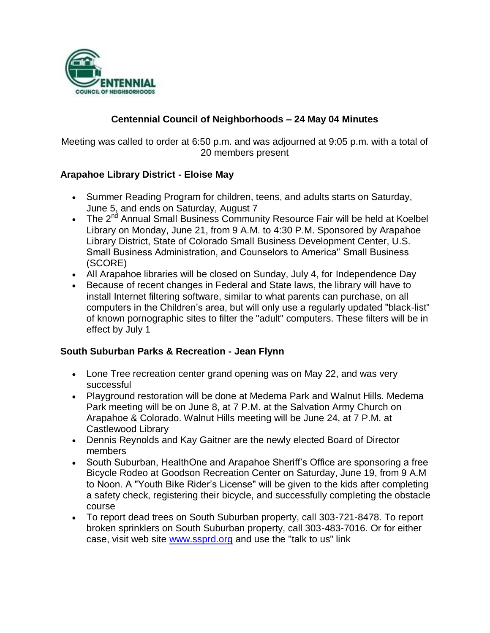

## **Centennial Council of Neighborhoods – 24 May 04 Minutes**

Meeting was called to order at 6:50 p.m. and was adjourned at 9:05 p.m. with a total of 20 members present

### **Arapahoe Library District - Eloise May**

- Summer Reading Program for children, teens, and adults starts on Saturday, June 5, and ends on Saturday, August 7
- The 2<sup>nd</sup> Annual Small Business Community Resource Fair will be held at Koelbel Library on Monday, June 21, from 9 A.M. to 4:30 P.M. Sponsored by Arapahoe Library District, State of Colorado Small Business Development Center, U.S. Small Business Administration, and Counselors to America'' Small Business (SCORE)
- All Arapahoe libraries will be closed on Sunday, July 4, for Independence Day
- Because of recent changes in Federal and State laws, the library will have to install Internet filtering software, similar to what parents can purchase, on all computers in the Children's area, but will only use a regularly updated "black-list" of known pornographic sites to filter the "adult" computers. These filters will be in effect by July 1

### **South Suburban Parks & Recreation - Jean Flynn**

- Lone Tree recreation center grand opening was on May 22, and was very successful
- Playground restoration will be done at Medema Park and Walnut Hills. Medema Park meeting will be on June 8, at 7 P.M. at the Salvation Army Church on Arapahoe & Colorado. Walnut Hills meeting will be June 24, at 7 P.M. at Castlewood Library
- Dennis Reynolds and Kay Gaitner are the newly elected Board of Director members
- South Suburban, HealthOne and Arapahoe Sheriff's Office are sponsoring a free Bicycle Rodeo at Goodson Recreation Center on Saturday, June 19, from 9 A.M to Noon. A "Youth Bike Rider's License" will be given to the kids after completing a safety check, registering their bicycle, and successfully completing the obstacle course
- To report dead trees on South Suburban property, call 303-721-8478. To report broken sprinklers on South Suburban property, call 303-483-7016. Or for either case, visit web site [www.ssprd.org](http://www.ssprd.org/) and use the "talk to us" link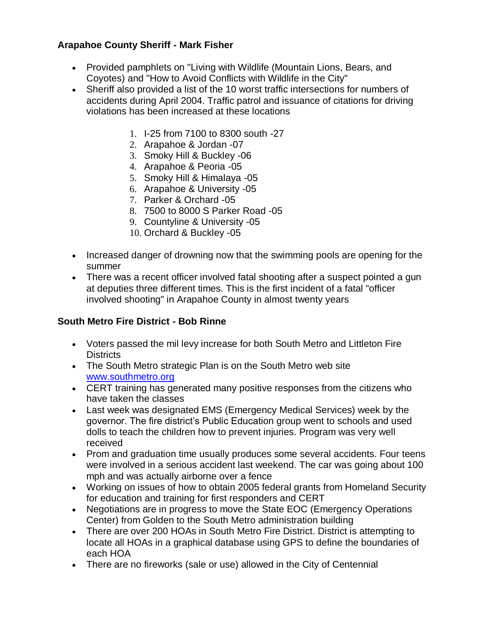## **Arapahoe County Sheriff - Mark Fisher**

- Provided pamphlets on "Living with Wildlife (Mountain Lions, Bears, and Coyotes) and "How to Avoid Conflicts with Wildlife in the City"
- Sheriff also provided a list of the 10 worst traffic intersections for numbers of accidents during April 2004. Traffic patrol and issuance of citations for driving violations has been increased at these locations
	- 1. I-25 from 7100 to 8300 south -27
	- 2. Arapahoe & Jordan -07
	- 3. Smoky Hill & Buckley -06
	- 4. Arapahoe & Peoria -05
	- 5. Smoky Hill & Himalaya -05
	- 6. Arapahoe & University -05
	- 7. Parker & Orchard -05
	- 8. 7500 to 8000 S Parker Road -05
	- 9. Countyline & University -05
	- 10. Orchard & Buckley -05
- Increased danger of drowning now that the swimming pools are opening for the summer
- There was a recent officer involved fatal shooting after a suspect pointed a gun at deputies three different times. This is the first incident of a fatal "officer involved shooting" in Arapahoe County in almost twenty years

## **South Metro Fire District - Bob Rinne**

- Voters passed the mil levy increase for both South Metro and Littleton Fire Districts
- The South Metro strategic Plan is on the South Metro web site [www.southmetro.org](http://www.southmetro.org/)
- CERT training has generated many positive responses from the citizens who have taken the classes
- Last week was designated EMS (Emergency Medical Services) week by the governor. The fire district's Public Education group went to schools and used dolls to teach the children how to prevent injuries. Program was very well received
- Prom and graduation time usually produces some several accidents. Four teens were involved in a serious accident last weekend. The car was going about 100 mph and was actually airborne over a fence
- Working on issues of how to obtain 2005 federal grants from Homeland Security for education and training for first responders and CERT
- Negotiations are in progress to move the State EOC (Emergency Operations Center) from Golden to the South Metro administration building
- There are over 200 HOAs in South Metro Fire District. District is attempting to locate all HOAs in a graphical database using GPS to define the boundaries of each HOA
- There are no fireworks (sale or use) allowed in the City of Centennial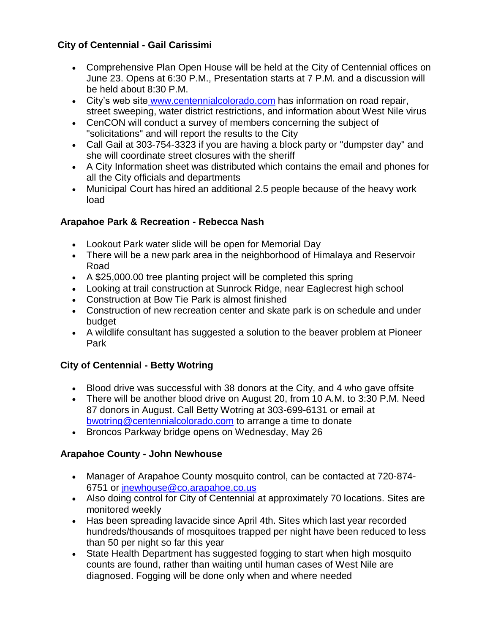# **City of Centennial - Gail Carissimi**

- Comprehensive Plan Open House will be held at the City of Centennial offices on June 23. Opens at 6:30 P.M., Presentation starts at 7 P.M. and a discussion will be held about 8:30 P.M.
- City's web site [www.centennialcolorado.com](http://www.centennialcolorado.com/) has information on road repair, street sweeping, water district restrictions, and information about West Nile virus
- CenCON will conduct a survey of members concerning the subject of "solicitations" and will report the results to the City
- Call Gail at 303-754-3323 if you are having a block party or "dumpster day" and she will coordinate street closures with the sheriff
- A City Information sheet was distributed which contains the email and phones for all the City officials and departments
- Municipal Court has hired an additional 2.5 people because of the heavy work load

## **Arapahoe Park & Recreation - Rebecca Nash**

- Lookout Park water slide will be open for Memorial Day
- There will be a new park area in the neighborhood of Himalaya and Reservoir Road
- A \$25,000.00 tree planting project will be completed this spring
- Looking at trail construction at Sunrock Ridge, near Eaglecrest high school
- Construction at Bow Tie Park is almost finished
- Construction of new recreation center and skate park is on schedule and under budget
- A wildlife consultant has suggested a solution to the beaver problem at Pioneer Park

# **City of Centennial - Betty Wotring**

- Blood drive was successful with 38 donors at the City, and 4 who gave offsite
- There will be another blood drive on August 20, from 10 A.M. to 3:30 P.M. Need 87 donors in August. Call Betty Wotring at 303-699-6131 or email a[t](mailto:%20bwotring@centennialcolorado.com) [bwotring@centennialcolorado.com](mailto:%20bwotring@centennialcolorado.com) to arrange a time to donate
- Broncos Parkway bridge opens on Wednesday, May 26

# **Arapahoe County - John Newhouse**

- Manager of Arapahoe County mosquito control, can be contacted at 720-874- 6751 or [jnewhouse@co.arapahoe.co.us](mailto:jnewhouse@co.arapahoe.co.us)
- Also doing control for City of Centennial at approximately 70 locations. Sites are monitored weekly
- Has been spreading lavacide since April 4th. Sites which last year recorded hundreds/thousands of mosquitoes trapped per night have been reduced to less than 50 per night so far this year
- State Health Department has suggested fogging to start when high mosquito counts are found, rather than waiting until human cases of West Nile are diagnosed. Fogging will be done only when and where needed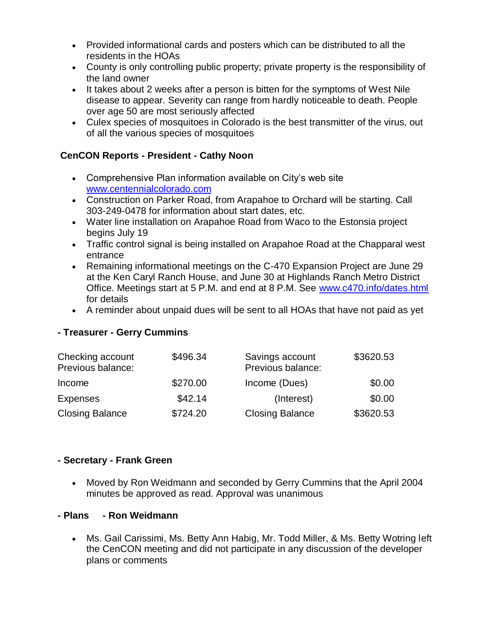- Provided informational cards and posters which can be distributed to all the residents in the HOAs
- County is only controlling public property; private property is the responsibility of the land owner
- It takes about 2 weeks after a person is bitten for the symptoms of West Nile disease to appear. Severity can range from hardly noticeable to death. People over age 50 are most seriously affected
- Culex species of mosquitoes in Colorado is the best transmitter of the virus, out of all the various species of mosquitoes

### **CenCON Reports - President - Cathy Noon**

- Comprehensive Plan information available on City's web site [www.centennialcolorado.com](http://www.centennialcolorado.com/)
- Construction on Parker Road, from Arapahoe to Orchard will be starting. Call 303-249-0478 for information about start dates, etc.
- Water line installation on Arapahoe Road from Waco to the Estonsia project begins July 19
- Traffic control signal is being installed on Arapahoe Road at the Chapparal west entrance
- Remaining informational meetings on the C-470 Expansion Project are June 29 at the Ken Caryl Ranch House, and June 30 at Highlands Ranch Metro District Office. Meetings start at 5 P.M. and end at 8 P.M. See [www.c470.info/dates.html](http://www.c470.info/dates.html) for details
- A reminder about unpaid dues will be sent to all HOAs that have not paid as yet

### **- Treasurer - Gerry Cummins**

| Checking account<br>Previous balance: | \$496.34 | Savings account<br>Previous balance: | \$3620.53 |
|---------------------------------------|----------|--------------------------------------|-----------|
| Income                                | \$270.00 | Income (Dues)                        | \$0.00    |
| Expenses                              | \$42.14  | (Interest)                           | \$0.00    |
| <b>Closing Balance</b>                | \$724.20 | <b>Closing Balance</b>               | \$3620.53 |

### **- Secretary - Frank Green**

 Moved by Ron Weidmann and seconded by Gerry Cummins that the April 2004 minutes be approved as read. Approval was unanimous

### **- Plans - Ron Weidmann**

 Ms. Gail Carissimi, Ms. Betty Ann Habig, Mr. Todd Miller, & Ms. Betty Wotring left the CenCON meeting and did not participate in any discussion of the developer plans or comments